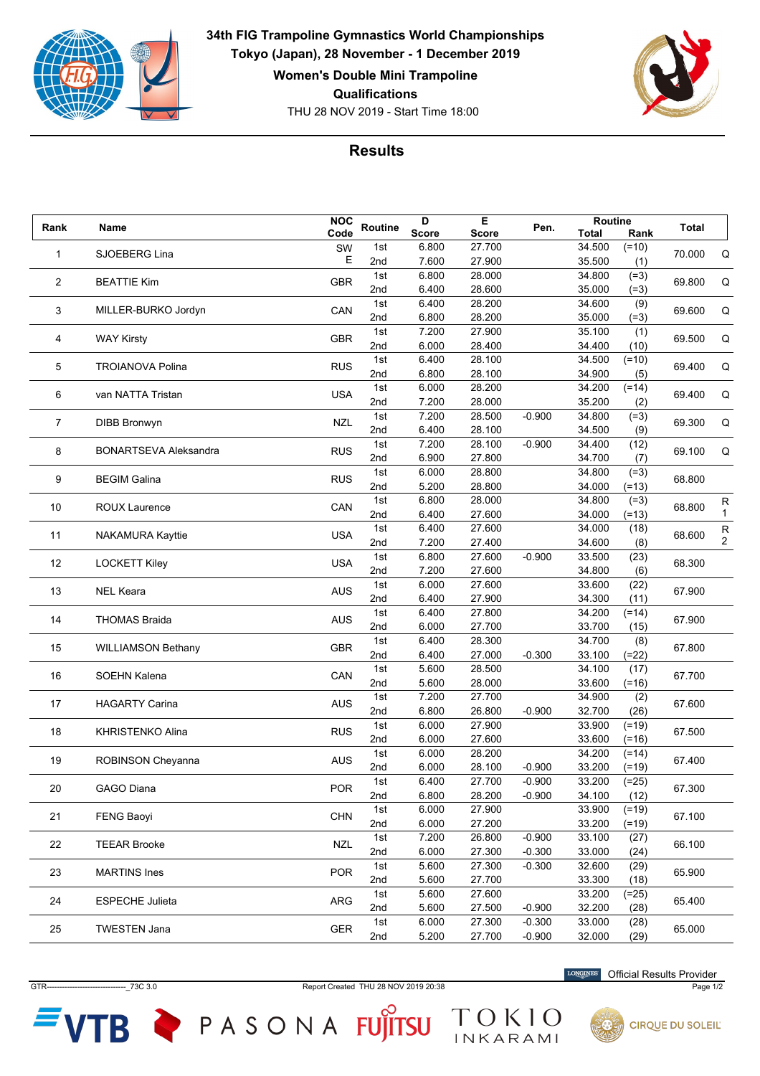

THU 28 NOV 2019 - Start Time 18:00 **34th FIG Trampoline Gymnastics World Championships Tokyo (Japan), 28 November - 1 December 2019 Women's Double Mini Trampoline Qualifications**



## **Results**

| Rank        | Name                         | <b>NOC</b> | Routine | D            | Е            | Pen.     | Routine      |         | Total  |                         |
|-------------|------------------------------|------------|---------|--------------|--------------|----------|--------------|---------|--------|-------------------------|
|             |                              | Code       |         | <b>Score</b> | <b>Score</b> |          | <b>Total</b> | Rank    |        |                         |
| $\mathbf 1$ | SJOEBERG Lina                | SW         | 1st     | 6.800        | 27.700       |          | 34.500       | $(=10)$ | 70.000 | Q                       |
|             |                              | Е          | 2nd     | 7.600        | 27.900       |          | 35.500       | (1)     |        |                         |
| 2           | <b>BEATTIE Kim</b>           | <b>GBR</b> | 1st     | 6.800        | 28.000       |          | 34.800       | $(=3)$  | 69.800 | Q                       |
|             |                              |            | 2nd     | 6.400        | 28.600       |          | 35.000       | $(=3)$  |        |                         |
| 3           | MILLER-BURKO Jordyn          | CAN        | 1st     | 6.400        | 28.200       |          | 34.600       | (9)     | 69.600 |                         |
|             |                              |            | 2nd     | 6.800        | 28.200       |          | 35.000       | $(=3)$  |        | Q                       |
|             |                              |            | 1st     | 7.200        | 27.900       |          | 35.100       | (1)     |        |                         |
| 4           | <b>WAY Kirsty</b>            | <b>GBR</b> | 2nd     | 6.000        | 28.400       |          | 34.400       | (10)    | 69.500 | Q                       |
|             |                              |            | 1st     | 6.400        | 28.100       |          | 34.500       | $(=10)$ |        |                         |
| 5           | <b>TROIANOVA Polina</b>      | <b>RUS</b> | 2nd     | 6.800        | 28.100       |          | 34.900       | (5)     | 69.400 | Q                       |
|             |                              |            | 1st     | 6.000        | 28.200       |          | 34.200       | $(=14)$ |        |                         |
| 6           | van NATTA Tristan            | <b>USA</b> | 2nd     | 7.200        | 28.000       |          | 35.200       | (2)     | 69.400 | Q                       |
|             |                              |            | 1st     | 7.200        | 28.500       | $-0.900$ | 34.800       | $(=3)$  |        |                         |
| 7           | <b>DIBB Bronwyn</b>          | <b>NZL</b> | 2nd     | 6.400        | 28.100       |          | 34.500       | (9)     | 69.300 | Q                       |
|             |                              |            | 1st     | 7.200        | 28.100       | $-0.900$ | 34.400       | (12)    |        |                         |
| 8           | <b>BONARTSEVA Aleksandra</b> | <b>RUS</b> | 2nd     | 6.900        | 27.800       |          | 34.700       | (7)     | 69.100 | Q                       |
|             |                              |            | 1st     | 6.000        | 28.800       |          | 34.800       | $(=3)$  |        |                         |
| 9           | <b>BEGIM Galina</b>          | <b>RUS</b> | 2nd     | 5.200        | 28.800       |          | 34.000       | $(=13)$ | 68.800 |                         |
|             |                              |            | 1st     | 6.800        | 28.000       |          | 34.800       |         |        |                         |
| 10          | <b>ROUX Laurence</b>         | CAN        | 2nd     |              |              |          |              | $(=3)$  | 68.800 | R<br>1                  |
|             |                              |            |         | 6.400        | 27.600       |          | 34.000       | $(=13)$ |        |                         |
| 11          | <b>NAKAMURA Kayttie</b>      | <b>USA</b> | 1st     | 6.400        | 27.600       |          | 34.000       | (18)    | 68.600 | ${\sf R}$               |
|             |                              |            | 2nd     | 7.200        | 27.400       |          | 34.600       | (8)     |        | $\overline{\mathbf{c}}$ |
| 12          | <b>LOCKETT Kiley</b>         | <b>USA</b> | 1st     | 6.800        | 27.600       | $-0.900$ | 33.500       | (23)    | 68.300 |                         |
|             |                              |            | 2nd     | 7.200        | 27.600       |          | 34.800       | (6)     |        |                         |
| 13          | <b>NEL Keara</b>             | <b>AUS</b> | 1st     | 6.000        | 27.600       |          | 33.600       | (22)    | 67.900 |                         |
|             |                              |            | 2nd     | 6.400        | 27.900       |          | 34.300       | (11)    |        |                         |
| 14          | <b>THOMAS Braida</b>         | <b>AUS</b> | 1st     | 6.400        | 27.800       |          | 34.200       | $(=14)$ | 67.900 |                         |
|             |                              |            | 2nd     | 6.000        | 27.700       |          | 33.700       | (15)    |        |                         |
| 15          | <b>WILLIAMSON Bethany</b>    | <b>GBR</b> | 1st     | 6.400        | 28.300       |          | 34.700       | (8)     | 67.800 |                         |
|             |                              |            | 2nd     | 6.400        | 27.000       | $-0.300$ | 33.100       | $(=22)$ |        |                         |
| 16          | <b>SOEHN Kalena</b>          | CAN        | 1st     | 5.600        | 28.500       |          | 34.100       | (17)    | 67.700 |                         |
|             |                              |            | 2nd     | 5.600        | 28.000       |          | 33.600       | $(=16)$ |        |                         |
| 17          | <b>HAGARTY Carina</b>        | <b>AUS</b> | 1st     | 7.200        | 27.700       |          | 34.900       | (2)     | 67.600 |                         |
|             |                              |            | 2nd     | 6.800        | 26.800       | $-0.900$ | 32.700       | (26)    |        |                         |
| 18          | <b>KHRISTENKO Alina</b>      | <b>RUS</b> | 1st     | 6.000        | 27.900       |          | 33.900       | $(=19)$ | 67.500 |                         |
|             |                              |            | 2nd     | 6.000        | 27.600       |          | 33.600       | $(=16)$ |        |                         |
|             |                              |            | 1st     | 6.000        | 28.200       |          | 34.200       | $(=14)$ |        |                         |
| 19          | ROBINSON Cheyanna            | <b>AUS</b> | 2nd     | 6.000        | 28.100       | $-0.900$ | 33.200       | $(=19)$ | 67.400 |                         |
|             |                              |            | 1st     | 6.400        | 27.700       | $-0.900$ | 33.200       | $(=25)$ |        |                         |
| $20\,$      | <b>GAGO Diana</b>            | POR        | 2nd     | 6.800        | 28.200       | $-0.900$ | 34.100       | (12)    | 67.300 |                         |
|             |                              |            | 1st     | 6.000        | 27.900       |          | 33.900       | $(=19)$ |        |                         |
| 21          | <b>FENG Baoyi</b>            | <b>CHN</b> | 2nd     | 6.000        | 27.200       |          | 33.200       | $(=19)$ | 67.100 |                         |
|             |                              |            | 1st     | 7.200        | 26.800       | $-0.900$ | 33.100       | (27)    |        |                         |
| 22          | <b>TEEAR Brooke</b>          | <b>NZL</b> | 2nd     | 6.000        | 27.300       | $-0.300$ | 33.000       | (24)    | 66.100 |                         |
|             |                              |            | 1st     | 5.600        | 27.300       | $-0.300$ | 32.600       | (29)    |        |                         |
| 23          | <b>MARTINS</b> Ines          | <b>POR</b> | 2nd     | 5.600        | 27.700       |          | 33.300       | (18)    | 65.900 |                         |
|             |                              |            | 1st     | 5.600        | 27.600       |          | 33.200       |         |        |                         |
| 24          | <b>ESPECHE Julieta</b>       | ARG        | 2nd     | 5.600        | 27.500       | $-0.900$ |              | $(=25)$ | 65.400 |                         |
|             |                              |            |         |              |              |          | 32.200       | (28)    |        |                         |
| 25          | <b>TWESTEN Jana</b>          | <b>GER</b> | 1st     | 6.000        | 27.300       | $-0.300$ | 33.000       | (28)    | 65.000 |                         |
|             |                              |            | 2nd     | 5.200        | 27.700       | $-0.900$ | 32.000       | (29)    |        |                         |

GTR-------------------------------\_73C 3.0 Report Created THU 28 NOV 2019 20:38 Page 1/2

TOKIO

 $VTB$  PASONA FUJITSU

Official Results Provider